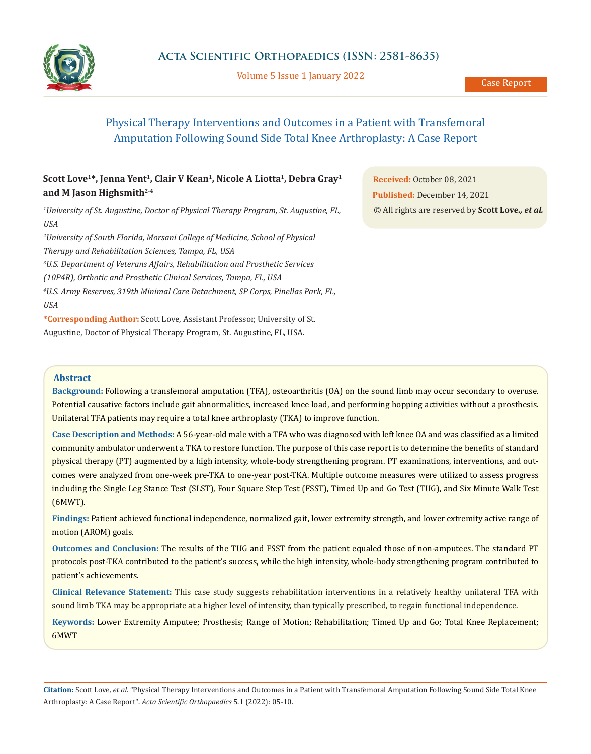

Volume 5 Issue 1 January 2022

# Physical Therapy Interventions and Outcomes in a Patient with Transfemoral Amputation Following Sound Side Total Knee Arthroplasty: A Case Report

## Scott Love<sup>1\*</sup>, Jenna Yent<sup>1</sup>, Clair V Kean<sup>1</sup>, Nicole A Liotta<sup>1</sup>, Debra Gray<sup>1</sup> **and M Jason Highsmith2-4**

*1 University of St. Augustine, Doctor of Physical Therapy Program, St. Augustine, FL, USA*

*2 University of South Florida, Morsani College of Medicine, School of Physical Therapy and Rehabilitation Sciences, Tampa, FL, USA 3 U.S. Department of Veterans Affairs, Rehabilitation and Prosthetic Services (10P4R), Orthotic and Prosthetic Clinical Services, Tampa, FL, USA*

*4 U.S. Army Reserves, 319th Minimal Care Detachment, SP Corps, Pinellas Park, FL, USA*

**\*Corresponding Author:** Scott Love, Assistant Professor, University of St. Augustine, Doctor of Physical Therapy Program, St. Augustine, FL, USA.

**Received:** October 08, 2021 **Published:** December 14, 2021 © All rights are reserved by **Scott Love***., et al.*

### **Abstract**

**Background:** Following a transfemoral amputation (TFA), osteoarthritis (OA) on the sound limb may occur secondary to overuse. Potential causative factors include gait abnormalities, increased knee load, and performing hopping activities without a prosthesis. Unilateral TFA patients may require a total knee arthroplasty (TKA) to improve function.

**Case Description and Methods:** A 56-year-old male with a TFA who was diagnosed with left knee OA and was classified as a limited community ambulator underwent a TKA to restore function. The purpose of this case report is to determine the benefits of standard physical therapy (PT) augmented by a high intensity, whole-body strengthening program. PT examinations, interventions, and outcomes were analyzed from one-week pre-TKA to one-year post-TKA. Multiple outcome measures were utilized to assess progress including the Single Leg Stance Test (SLST), Four Square Step Test (FSST), Timed Up and Go Test (TUG), and Six Minute Walk Test (6MWT).

**Findings:** Patient achieved functional independence, normalized gait, lower extremity strength, and lower extremity active range of motion (AROM) goals.

**Outcomes and Conclusion:** The results of the TUG and FSST from the patient equaled those of non-amputees. The standard PT protocols post-TKA contributed to the patient's success, while the high intensity, whole-body strengthening program contributed to patient's achievements.

**Clinical Relevance Statement:** This case study suggests rehabilitation interventions in a relatively healthy unilateral TFA with sound limb TKA may be appropriate at a higher level of intensity, than typically prescribed, to regain functional independence.

**Keywords:** Lower Extremity Amputee; Prosthesis; Range of Motion; Rehabilitation; Timed Up and Go; Total Knee Replacement; 6MWT

**Citation:** Scott Love*, et al.* "Physical Therapy Interventions and Outcomes in a Patient with Transfemoral Amputation Following Sound Side Total Knee Arthroplasty: A Case Report". *Acta Scientific Orthopaedics* 5.1 (2022): 05-10.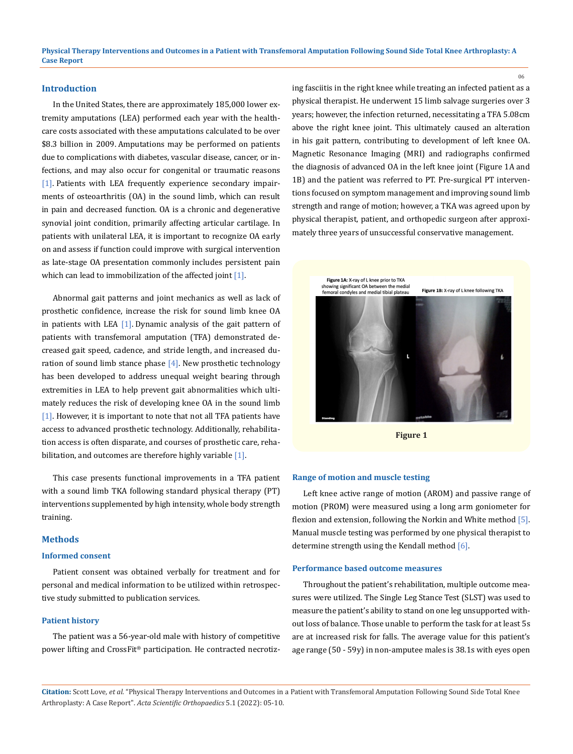### **Introduction**

In the United States, there are approximately 185,000 lower extremity amputations (LEA) performed each year with the healthcare costs associated with these amputations calculated to be over \$8.3 billion in 2009. Amputations may be performed on patients due to complications with diabetes, vascular disease, cancer, or infections, and may also occur for congenital or traumatic reasons [1]. Patients with LEA frequently experience secondary impairments of osteoarthritis (OA) in the sound limb, which can result in pain and decreased function. OA is a chronic and degenerative synovial joint condition, primarily affecting articular cartilage. In patients with unilateral LEA, it is important to recognize OA early on and assess if function could improve with surgical intervention as late-stage OA presentation commonly includes persistent pain which can lead to immobilization of the affected joint [1].

Abnormal gait patterns and joint mechanics as well as lack of prosthetic confidence, increase the risk for sound limb knee OA in patients with LEA [1]. Dynamic analysis of the gait pattern of patients with transfemoral amputation (TFA) demonstrated decreased gait speed, cadence, and stride length, and increased duration of sound limb stance phase  $[4]$ . New prosthetic technology has been developed to address unequal weight bearing through extremities in LEA to help prevent gait abnormalities which ultimately reduces the risk of developing knee OA in the sound limb [1]. However, it is important to note that not all TFA patients have access to advanced prosthetic technology. Additionally, rehabilitation access is often disparate, and courses of prosthetic care, rehabilitation, and outcomes are therefore highly variable [1].

This case presents functional improvements in a TFA patient with a sound limb TKA following standard physical therapy (PT) interventions supplemented by high intensity, whole body strength training.

### **Methods**

### **Informed consent**

Patient consent was obtained verbally for treatment and for personal and medical information to be utilized within retrospective study submitted to publication services.

### **Patient history**

The patient was a 56-year-old male with history of competitive power lifting and CrossFit® participation. He contracted necrotizing fasciitis in the right knee while treating an infected patient as a physical therapist. He underwent 15 limb salvage surgeries over 3 years; however, the infection returned, necessitating a TFA 5.08cm above the right knee joint. This ultimately caused an alteration in his gait pattern, contributing to development of left knee OA. Magnetic Resonance Imaging (MRI) and radiographs confirmed the diagnosis of advanced OA in the left knee joint (Figure 1A and 1B) and the patient was referred to PT. Pre-surgical PT interventions focused on symptom management and improving sound limb strength and range of motion; however, a TKA was agreed upon by physical therapist, patient, and orthopedic surgeon after approximately three years of unsuccessful conservative management.



**Figure 1**

#### **Range of motion and muscle testing**

Left knee active range of motion (AROM) and passive range of motion (PROM) were measured using a long arm goniometer for flexion and extension, following the Norkin and White method [5]. Manual muscle testing was performed by one physical therapist to determine strength using the Kendall method [6].

### **Performance based outcome measures**

Throughout the patient's rehabilitation, multiple outcome measures were utilized. The Single Leg Stance Test (SLST) was used to measure the patient's ability to stand on one leg unsupported without loss of balance. Those unable to perform the task for at least 5s are at increased risk for falls. The average value for this patient's age range (50 - 59y) in non-amputee males is 38.1s with eyes open

**Citation:** Scott Love*, et al.* "Physical Therapy Interventions and Outcomes in a Patient with Transfemoral Amputation Following Sound Side Total Knee Arthroplasty: A Case Report". *Acta Scientific Orthopaedics* 5.1 (2022): 05-10.

06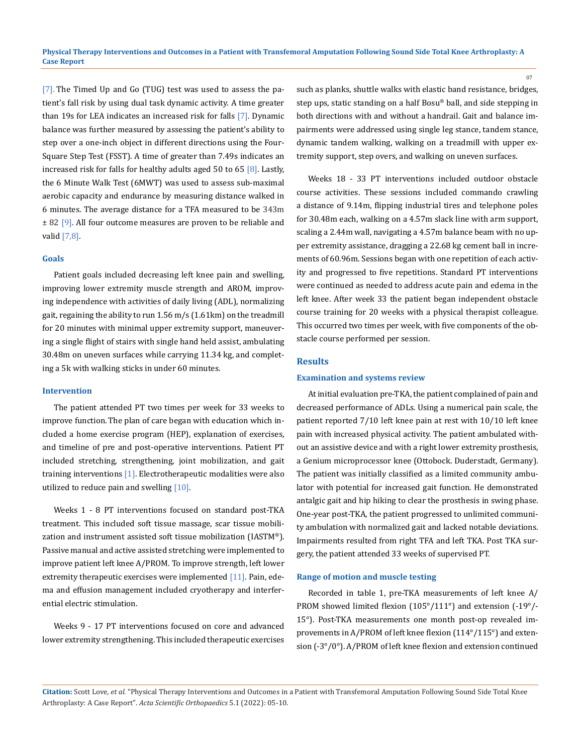[7]. The Timed Up and Go (TUG) test was used to assess the patient's fall risk by using dual task dynamic activity. A time greater than 19s for LEA indicates an increased risk for falls [7]. Dynamic balance was further measured by assessing the patient's ability to step over a one-inch object in different directions using the Four-Square Step Test (FSST). A time of greater than 7.49s indicates an increased risk for falls for healthy adults aged 50 to 65  $[8]$ . Lastly, the 6 Minute Walk Test (6MWT) was used to assess sub-maximal aerobic capacity and endurance by measuring distance walked in 6 minutes. The average distance for a TFA measured to be 343m  $\pm$  82 [9]. All four outcome measures are proven to be reliable and valid [7,8].

### **Goals**

Patient goals included decreasing left knee pain and swelling, improving lower extremity muscle strength and AROM, improving independence with activities of daily living (ADL), normalizing gait, regaining the ability to run 1.56 m/s (1.61km) on the treadmill for 20 minutes with minimal upper extremity support, maneuvering a single flight of stairs with single hand held assist, ambulating 30.48m on uneven surfaces while carrying 11.34 kg, and completing a 5k with walking sticks in under 60 minutes.

### **Intervention**

The patient attended PT two times per week for 33 weeks to improve function.The plan of care began with education which included a home exercise program (HEP), explanation of exercises, and timeline of pre and post-operative interventions. Patient PT included stretching, strengthening, joint mobilization, and gait training interventions [1]. Electrotherapeutic modalities were also utilized to reduce pain and swelling [10].

Weeks 1 - 8 PT interventions focused on standard post-TKA treatment. This included soft tissue massage, scar tissue mobilization and instrument assisted soft tissue mobilization (IASTM®). Passive manual and active assisted stretching were implemented to improve patient left knee A/PROM. To improve strength, left lower extremity therapeutic exercises were implemented [11]. Pain, edema and effusion management included cryotherapy and interferential electric stimulation.

Weeks 9 - 17 PT interventions focused on core and advanced lower extremity strengthening. This included therapeutic exercises such as planks, shuttle walks with elastic band resistance, bridges, step ups, static standing on a half Bosu® ball, and side stepping in both directions with and without a handrail. Gait and balance impairments were addressed using single leg stance, tandem stance, dynamic tandem walking, walking on a treadmill with upper extremity support, step overs, and walking on uneven surfaces.

Weeks 18 - 33 PT interventions included outdoor obstacle course activities. These sessions included commando crawling a distance of 9.14m, flipping industrial tires and telephone poles for 30.48m each, walking on a 4.57m slack line with arm support, scaling a 2.44m wall, navigating a 4.57m balance beam with no upper extremity assistance, dragging a 22.68 kg cement ball in increments of 60.96m. Sessions began with one repetition of each activity and progressed to five repetitions. Standard PT interventions were continued as needed to address acute pain and edema in the left knee. After week 33 the patient began independent obstacle course training for 20 weeks with a physical therapist colleague. This occurred two times per week, with five components of the obstacle course performed per session.

#### **Results**

### **Examination and systems review**

At initial evaluation pre-TKA, the patient complained of pain and decreased performance of ADLs. Using a numerical pain scale, the patient reported 7/10 left knee pain at rest with 10/10 left knee pain with increased physical activity. The patient ambulated without an assistive device and with a right lower extremity prosthesis, a Genium microprocessor knee (Ottobock. Duderstadt, Germany). The patient was initially classified as a limited community ambulator with potential for increased gait function. He demonstrated antalgic gait and hip hiking to clear the prosthesis in swing phase. One-year post-TKA, the patient progressed to unlimited community ambulation with normalized gait and lacked notable deviations. Impairments resulted from right TFA and left TKA. Post TKA surgery, the patient attended 33 weeks of supervised PT.

#### **Range of motion and muscle testing**

Recorded in table 1, pre-TKA measurements of left knee A/ PROM showed limited flexion (105°/111°) and extension (-19°/- 15°). Post-TKA measurements one month post-op revealed improvements in A/PROM of left knee flexion (114°/115°) and extension (-3°/0°). A/PROM of left knee flexion and extension continued

**Citation:** Scott Love*, et al.* "Physical Therapy Interventions and Outcomes in a Patient with Transfemoral Amputation Following Sound Side Total Knee Arthroplasty: A Case Report". *Acta Scientific Orthopaedics* 5.1 (2022): 05-10.

07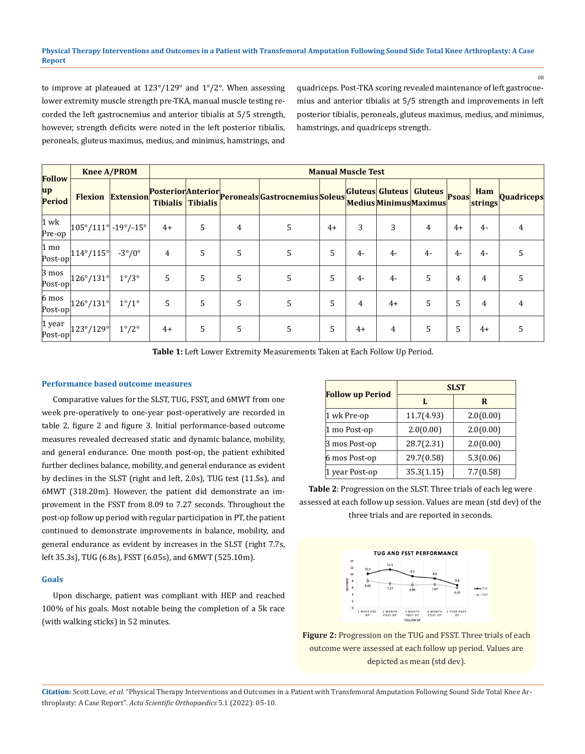to improve at plateaued at 123°/129° and 1°/2°. When assessing lower extremity muscle strength pre-TKA, manual muscle testing recorded the left gastrocnemius and anterior tibialis at 5/5 strength, however, strength deficits were noted in the left posterior tibialis, peroneals, gluteus maximus, medius, and minimus, hamstrings, and quadriceps. Post-TKA scoring revealed maintenance of left gastrocnemius and anterior tibialis at 5/5 strength and improvements in left posterior tibialis, peroneals, gluteus maximus, medius, and minimus, hamstrings, and quadriceps strength.

08

| <b>Follow</b><br>$\mathbf{u} \mathbf{p}$<br>Period | <b>Knee A/PROM</b>                    |                          | <b>Manual Muscle Test</b> |                   |                |                                               |      |      |      |                                                         |      |                |                   |  |
|----------------------------------------------------|---------------------------------------|--------------------------|---------------------------|-------------------|----------------|-----------------------------------------------|------|------|------|---------------------------------------------------------|------|----------------|-------------------|--|
|                                                    |                                       | <b>Flexion Extension</b> |                           | Tibialis Tibialis |                | RosteriorAnteriorReronealsGastrocnemiusSoleus |      |      |      | Gluteus Gluteus Gluteus Psoas<br>Medius Minimus Maximus |      | Ham<br>strings | <b>Quadriceps</b> |  |
| $1$ wk<br>Pre-op                                   | $ 105^{\circ}/111^{\circ} $ -19°/-15° |                          | $4+$                      | 5                 | $\overline{4}$ | 5                                             | $4+$ | 3    | 3    | 4                                                       | $4+$ | $4-$           | 4                 |  |
| $ 1 \text{ mo} $<br>Post-op                        | 114°/115°                             | $-3^{\circ}/0^{\circ}$   | 4                         | 5                 | 5              | $\overline{5}$                                | 5    | $4-$ | $4-$ | $4-$                                                    | 4-   | 4-             | 5                 |  |
| $3 \text{ mos}$<br>Post-op                         | 126°/131°                             | $1^{\circ}/3^{\circ}$    | 5                         | 5                 | 5              | $\overline{5}$                                | 5    | $4-$ | $4-$ | 5                                                       | 4    | 4              | 5                 |  |
| $6 \text{ mos}$<br>Post-op                         | 126°/131°                             | $1^{\circ}/1^{\circ}$    | 5                         | 5                 | 5              | 5                                             | 5    | 4    | $4+$ | 5                                                       | 5    | 4              | 4                 |  |
| $1$ year<br> Post-op                               | 123°/129°                             | $1^{\circ}/2^{\circ}$    | $4+$                      | 5                 | 5              | 5                                             | 5    | $4+$ | 4    | 5                                                       | 5    | $4+$           | 5                 |  |

**Table 1:** Left Lower Extremity Measurements Taken at Each Follow Up Period.

### **Performance based outcome measures**

Comparative values for the SLST, TUG, FSST, and 6MWT from one week pre-operatively to one-year post-operatively are recorded in table 2, figure 2 and figure 3. Initial performance-based outcome measures revealed decreased static and dynamic balance, mobility, and general endurance. One month post-op, the patient exhibited further declines balance, mobility, and general endurance as evident by declines in the SLST (right and left, 2.0s), TUG test (11.5s), and 6MWT (318.20m). However, the patient did demonstrate an improvement in the FSST from 8.09 to 7.27 seconds. Throughout the post-op follow up period with regular participation in PT, the patient continued to demonstrate improvements in balance, mobility, and general endurance as evident by increases in the SLST (right 7.7s, left 35.3s), TUG (6.8s), FSST (6.05s), and 6MWT (525.10m).

#### **Goals**

Upon discharge, patient was compliant with HEP and reached 100% of his goals. Most notable being the completion of a 5k race (with walking sticks) in 52 minutes.

|                         | <b>SLST</b> |           |  |  |  |  |  |
|-------------------------|-------------|-----------|--|--|--|--|--|
| <b>Follow up Period</b> | L           | R         |  |  |  |  |  |
| 1 wk Pre-op             | 11.7(4.93)  | 2.0(0.00) |  |  |  |  |  |
| 1 mo Post-op            | 2.0(0.00)   | 2.0(0.00) |  |  |  |  |  |
| 3 mos Post-op           | 28.7(2.31)  | 2.0(0.00) |  |  |  |  |  |
| 6 mos Post-op           | 29.7(0.58)  | 5.3(0.06) |  |  |  |  |  |
| 1 year Post-op          | 35.3(1.15)  | 7.7(0.58) |  |  |  |  |  |

**Table 2**: Progression on the SLST. Three trials of each leg were assessed at each follow up session. Values are mean (std dev) of the three trials and are reported in seconds.



**Figure 2:** Progression on the TUG and FSST. Three trials of each outcome were assessed at each follow up period. Values are depicted as mean (std dev).

**Citation:** Scott Love*, et al.* "Physical Therapy Interventions and Outcomes in a Patient with Transfemoral Amputation Following Sound Side Total Knee Arthroplasty: A Case Report". *Acta Scientific Orthopaedics* 5.1 (2022): 05-10.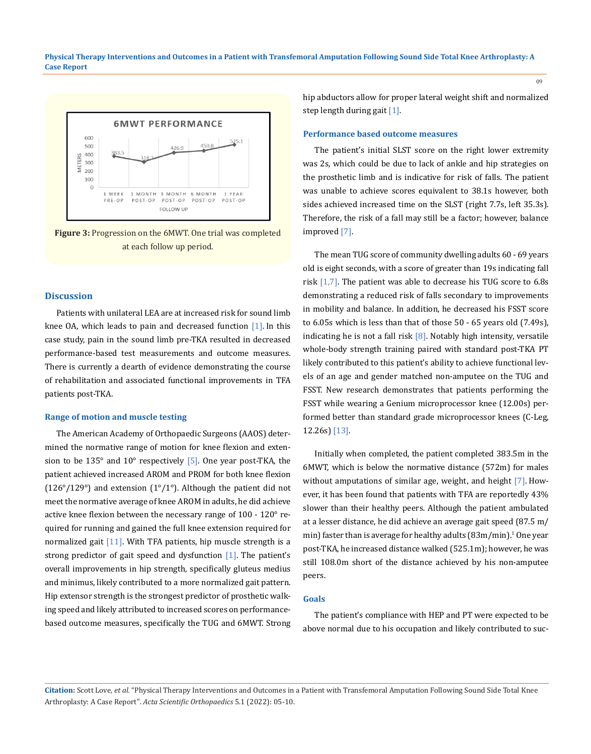

**Figure 3:** Progression on the 6MWT. One trial was completed at each follow up period.

### **Discussion**

Patients with unilateral LEA are at increased risk for sound limb knee OA, which leads to pain and decreased function [1]. In this case study, pain in the sound limb pre-TKA resulted in decreased performance-based test measurements and outcome measures. There is currently a dearth of evidence demonstrating the course of rehabilitation and associated functional improvements in TFA patients post-TKA.

#### **Range of motion and muscle testing**

The American Academy of Orthopaedic Surgeons (AAOS) determined the normative range of motion for knee flexion and extension to be  $135^\circ$  and  $10^\circ$  respectively [5]. One year post-TKA, the patient achieved increased AROM and PROM for both knee flexion (126 $\degree$ /129 $\degree$ ) and extension (1 $\degree$ /1 $\degree$ ). Although the patient did not meet the normative average of knee AROM in adults, he did achieve active knee flexion between the necessary range of 100 - 120° required for running and gained the full knee extension required for normalized gait [11]. With TFA patients, hip muscle strength is a strong predictor of gait speed and dysfunction  $[1]$ . The patient's overall improvements in hip strength, specifically gluteus medius and minimus, likely contributed to a more normalized gait pattern. Hip extensor strength is the strongest predictor of prosthetic walking speed and likely attributed to increased scores on performancebased outcome measures, specifically the TUG and 6MWT. Strong hip abductors allow for proper lateral weight shift and normalized step length during gait [1].

### **Performance based outcome measures**

The patient's initial SLST score on the right lower extremity was 2s, which could be due to lack of ankle and hip strategies on the prosthetic limb and is indicative for risk of falls. The patient was unable to achieve scores equivalent to 38.1s however, both sides achieved increased time on the SLST (right 7.7s, left 35.3s). Therefore, the risk of a fall may still be a factor; however, balance improved [7].

The mean TUG score of community dwelling adults 60 - 69 years old is eight seconds, with a score of greater than 19s indicating fall risk  $[1,7]$ . The patient was able to decrease his TUG score to 6.8s demonstrating a reduced risk of falls secondary to improvements in mobility and balance. In addition, he decreased his FSST score to 6.05s which is less than that of those 50 - 65 years old (7.49s), indicating he is not a fall risk  $[8]$ . Notably high intensity, versatile whole-body strength training paired with standard post-TKA PT likely contributed to this patient's ability to achieve functional levels of an age and gender matched non-amputee on the TUG and FSST. New research demonstrates that patients performing the FSST while wearing a Genium microprocessor knee (12.00s) performed better than standard grade microprocessor knees (C-Leg, 12.26s) [13].

Initially when completed, the patient completed 383.5m in the 6MWT, which is below the normative distance (572m) for males without amputations of similar age, weight, and height [7]. However, it has been found that patients with TFA are reportedly 43% slower than their healthy peers. Although the patient ambulated at a lesser distance, he did achieve an average gait speed (87.5 m/ min) faster than is average for healthy adults ( $83\text{m/min}$ ). $^{\text{1}}$  One year post-TKA, he increased distance walked (525.1m); however, he was still 108.0m short of the distance achieved by his non-amputee peers.

#### **Goals**

The patient's compliance with HEP and PT were expected to be above normal due to his occupation and likely contributed to suc-

**Citation:** Scott Love*, et al.* "Physical Therapy Interventions and Outcomes in a Patient with Transfemoral Amputation Following Sound Side Total Knee Arthroplasty: A Case Report". *Acta Scientific Orthopaedics* 5.1 (2022): 05-10.

09